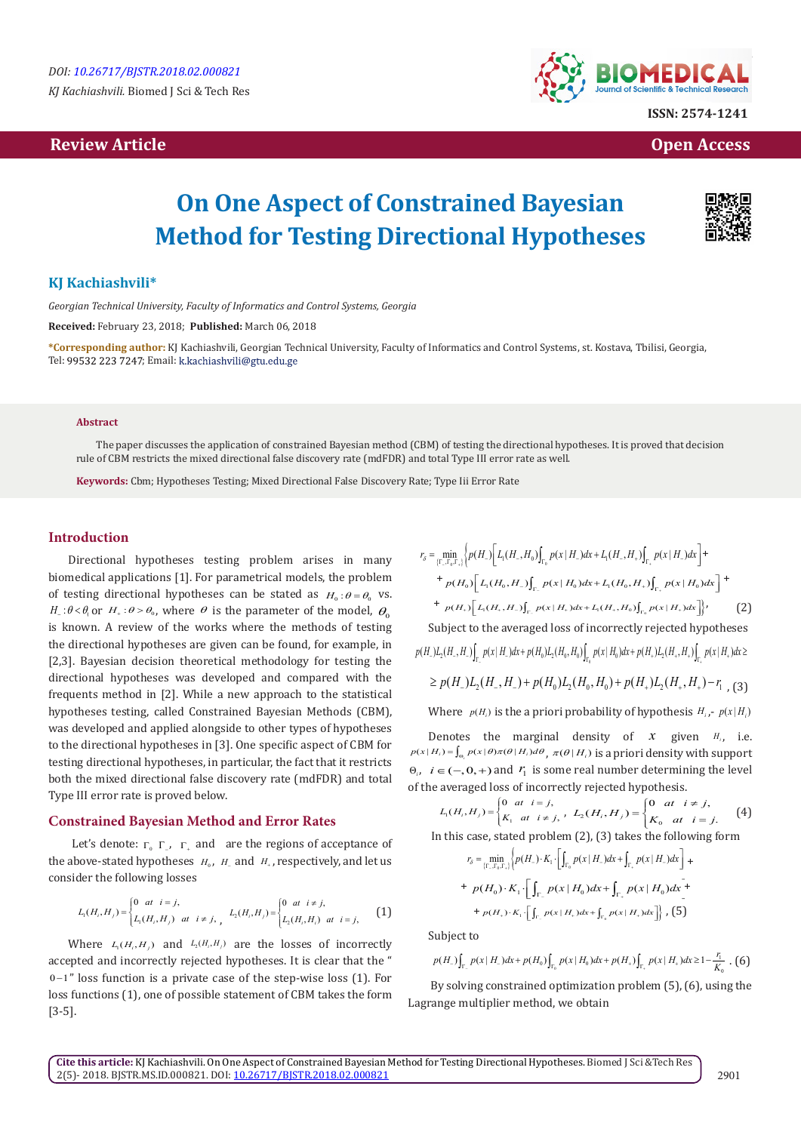# **Review Article Open Access**



# **On One Aspect of Constrained Bayesian Method for Testing Directional Hypotheses**

# **KJ Kachiashvili\***

*Georgian Technical University, Faculty of Informatics and Control Systems, Georgia*

**Received:** February 23, 2018; **Published:** March 06, 2018

**\*Corresponding author:** KJ Kachiashvili, Georgian Technical University, Faculty of Informatics and Control Systems, st. Kostava, Tbilisi, Georgia, Tel: 99532 223 7247; Email: k.kachiashvili@gtu.edu.ge

#### **Abstract**

The paper discusses the application of constrained Bayesian method (CBM) of testing the directional hypotheses. It is proved that decision rule of CBM restricts the mixed directional false discovery rate (mdFDR) and total Type III error rate as well.

**Keywords:** Cbm; Hypotheses Testing; Mixed Directional False Discovery Rate; Type Iii Error Rate

## **Introduction**

Directional hypotheses testing problem arises in many biomedical applications [1]. For parametrical models, the problem of testing directional hypotheses can be stated as  $H_0$ : $\theta = \theta_0$  vs.  $H_{\perp}$ : $\theta < \theta_0$  or  $H_{+}$ : $\theta > \theta_0$ , where  $\theta$  is the parameter of the model,  $\theta_0$ is known. A review of the works where the methods of testing the directional hypotheses are given can be found, for example, in [2,3]. Bayesian decision theoretical methodology for testing the directional hypotheses was developed and compared with the frequents method in [2]. While a new approach to the statistical hypotheses testing, called Constrained Bayesian Methods (CBM), was developed and applied alongside to other types of hypotheses to the directional hypotheses in [3]. One specific aspect of CBM for testing directional hypotheses, in particular, the fact that it restricts both the mixed directional false discovery rate (mdFDR) and total Type III error rate is proved below.

#### **Constrained Bayesian Method and Error Rates**

Let's denote:  $\Gamma_0$   $\Gamma_7$ ,  $\Gamma_4$  and are the regions of acceptance of the above-stated hypotheses  $H_0$ ,  $H_1$  and  $H_2$ , respectively, and let us consider the following losses

$$
L_1(H_i, H_j) = \begin{cases} 0 & at \ i = j, \\ L_1(H_i, H_j) & at \ i \neq j, \\ L_2(H_i, H_j) & at \ i = j, \end{cases} L_2(H_i, H_j) = \begin{cases} 0 & at \ i \neq j, \\ L_2(H_i, H_i) & at \ i = j, \end{cases}
$$
 (1)

Where  $L_1(H_i, H_j)$  and  $L_2(H_i, H_j)$  are the losses of incorrectly accepted and incorrectly rejected hypotheses. It is clear that the " 0 1− " loss function is a private case of the step-wise loss (1). For loss functions (1), one of possible statement of CBM takes the form [3-5].

$$
r_{\delta} = \min_{\{\Gamma_{-},\Gamma_{0},\Gamma_{+}\}} \left\{ p(H_{-}) \Big| L_{1}(H_{-},H_{0}) \int_{\Gamma_{0}} p(x \mid H_{-}) dx + L_{1}(H_{-},H_{+}) \int_{\Gamma_{+}} p(x \mid H_{-}) dx \Big| + \frac{1}{p(H_{0}) \Big[ L_{1}(H_{0},H_{-}) \int_{\Gamma_{-}} p(x \mid H_{0}) dx + L_{1}(H_{0},H_{+}) \int_{\Gamma_{+}} p(x \mid H_{0}) dx \Big]} + \frac{1}{p(H_{+}) \Big[ L_{1}(H_{+},H_{-}) \int_{\Gamma_{-}} p(x \mid H_{+}) dx + L_{1}(H_{+},H_{0}) \int_{\Gamma_{0}} p(x \mid H_{+}) dx \Big]} \right\}, \tag{2}
$$

Subject to the averaged loss of incorrectly rejected hypotheses  $p(H_{-})L_2(H_{-}, H_{-})\big|_{\Gamma_{-}} p(x \mid H_{-}) dx + p(H_0)L_2(H_0, H_0)\big|_{\Gamma_{0}} p(x \mid H_0) dx + p(H_{+})L_2(H_{+}, H_{+})\big|_{\Gamma_{+}} p(x \mid H_{+}) dx \ge$ 

$$
\geq p(H_{-})L_{2}(H_{-},H_{-})+p(H_{0})L_{2}(H_{0},H_{0})+p(H_{+})L_{2}(H_{+},H_{+})-r_{1} \tag{3}
$$

Where  $p(H_i)$  is the a priori probability of hypothesis  $H_{i,j}$ -  $p(x|H_i)$ 

Denotes the marginal density of  $x$  given  $H_i$ , i.e.  $p(x|H_i) = \int_{\Theta_i} p(x|\theta) \pi(\theta|H_i) d\theta$ ,  $\pi(\theta|H_i)$  is a priori density with support  $Θ$ <sub>*i*</sub>, *i* ∈ (−, 0, +) and  $P$ <sup>1</sup> is some real number determining the level of the averaged loss of incorrectly rejected hypothesis.

$$
L_1(H_i, H_j) = \begin{cases} 0 & \text{at } i = j, \\ K_1 & \text{at } i \neq j, \end{cases}, \ L_2(H_i, H_j) = \begin{cases} 0 & \text{at } i \neq j, \\ K_0 & \text{at } i = j. \end{cases}
$$
 (4)

In this case, stated problem (2), (3) takes the following form

$$
r_{\delta} = \min_{\{\Gamma_{-},\Gamma_{0},\Gamma_{+}\}} \left\{ p(H_{-}) \cdot K_{1} \cdot \left[ \int_{\Gamma_{0}} p(x \mid H_{-}) dx + \int_{\Gamma_{+}} p(x \mid H_{-}) dx \right] + \right.
$$
  
+  $p(H_{0}) \cdot K_{1} \cdot \left[ \int_{\Gamma_{-}} p(x \mid H_{0}) dx + \int_{\Gamma_{+}} p(x \mid H_{0}) dx + \right.$   
+  $p(H_{+}) \cdot K_{1} \cdot \left[ \int_{\Gamma_{-}} p(x \mid H_{+}) dx + \int_{\Gamma_{0}} p(x \mid H_{+}) dx \right] \right\},$  (5)

Subject to

$$
p(H_{-})\int_{\Gamma_{-}} p(x | H_{-}) dx + p(H_{0})\int_{\Gamma_{0}} p(x | H_{0}) dx + p(H_{+})\int_{\Gamma_{+}} p(x | H_{+}) dx \geq 1 - \frac{r_{1}}{K_{0}} \cdot (6)
$$

 By solving constrained optimization problem (5), (6), using the Lagrange multiplier method, we obtain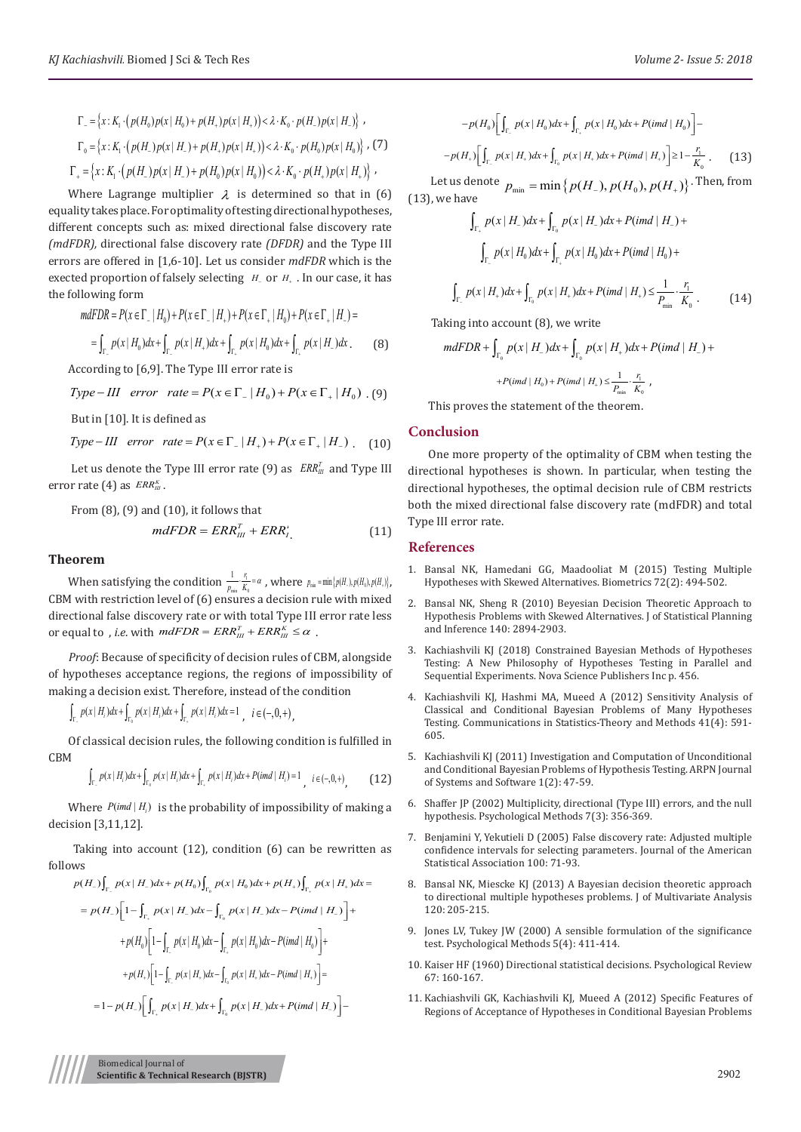$$
\Gamma_{-} = \{x : K_{1} \cdot (p(H_{0})p(x \mid H_{0}) + p(H_{+})p(x \mid H_{+})) < \lambda \cdot K_{0} \cdot p(H_{-})p(x \mid H_{-})\},\
$$
\n
$$
\Gamma_{0} = \{x : K_{1} \cdot (p(H_{-})p(x \mid H_{-}) + p(H_{+})p(x \mid H_{+})) < \lambda \cdot K_{0} \cdot p(H_{0})p(x \mid H_{0})\},\
$$
\n
$$
\Gamma_{+} = \{x : K_{1} \cdot (p(H_{-})p(x \mid H_{-}) + p(H_{0})p(x \mid H_{0})) < \lambda \cdot K_{0} \cdot p(H_{+})p(x \mid H_{+})\},\
$$

Where Lagrange multiplier  $\lambda$  is determined so that in (6) equality takes place. For optimality of testing directional hypotheses, different concepts such as: mixed directional false discovery rate *(mdFDR),* directional false discovery rate *(DFDR)* and the Type III errors are offered in [1,6-10]. Let us consider *mdFDR* which is the exected proportion of falsely selecting *H*<sub>−</sub> or *H*<sub>+</sub>. In our case, it has the following form

$$
mdFDR = P(x ∈ Γ_ | H_0) + P(x ∈ Γ_ | H_+) + P(x ∈ Γ_ | H_0) + P(x ∈ Γ_ | H_-) =
$$
  
= 
$$
\int_{\Gamma_+} p(x | H_0) dx + \int_{\Gamma_+} p(x | H_+) dx + \int_{\Gamma_+} p(x | H_0) dx + \int_{\Gamma_+} p(x | H_-) dx.
$$
 (8)

According to [6,9]. The Type III error rate is

*Type*-*III* error rate = 
$$
P(x \in \Gamma_- | H_0) + P(x \in \Gamma_+ | H_0)
$$
. (9)

But in [10]. It is defined as

*Type*-III *error rate* = 
$$
P(x \in \Gamma_- | H_+) + P(x \in \Gamma_+ | H_-)
$$
. (10)

Let us denote the Type III error rate (9) as  $\mathit{ERR}_{\mathit{III}}^T$  and Type III error rate  $(4)$  as  $\textit{ERR}_{\textit{III}}^{\kappa}$ .

From (8), (9) and (10), it follows that\n
$$
I_{\text{max}} = \text{max} \mathbb{E} \left[ \text{max} \right]
$$

$$
mdFDR = ERR_{III}^T + ERR_{I}^T
$$
 (11)

#### **Theorem**

When satisfying the condition  $\frac{1}{p_{\min}} \frac{1}{K_0}$  $\frac{1}{p_{\min}} \cdot \frac{r_1}{K_0} = \alpha$ , where  $p_{\min} = \min\{p(H_-), p(H_0), p(H_+) \},$ CBM with restriction level of (6) ensures a decision rule with mixed directional false discovery rate or with total Type III error rate less or equal to , *i.e.* with  $mdFDR = ERR_{III}^T + ERR_{III}^K \leq \alpha$ .

*Proof*: Because of specificity of decision rules of CBM, alongside of hypotheses acceptance regions, the regions of impossibility of making a decision exist. Therefore, instead of the condition

 $\int_{\Gamma_+} p(x | H_i) dx + \int_{\Gamma_0} p(x | H_i) dx + \int_{\Gamma_+} p(x | H_i) dx = 1$ ,  $i \in (-,0,+)$ ,

Of classical decision rules, the following condition is fulfilled in CBM

$$
\int_{\Gamma_{\cdot}} p(x \mid H_i) dx + \int_{\Gamma_0} p(x \mid H_i) dx + \int_{\Gamma_{\cdot}} p(x \mid H_i) dx + P(\text{im} d \mid H_i) = 1, \quad i \in (-, 0, +)
$$
\n(12)

Where  $P$ (*imd*  $|H_i|$ ) is the probability of impossibility of making a decision [3,11,12].

 Taking into account (12), condition (6) can be rewritten as follows

$$
p(H_{-})\int_{\Gamma_{-}} p(x | H_{-})dx + p(H_{0})\int_{\Gamma_{0}} p(x | H_{0})dx + p(H_{+})\int_{\Gamma_{+}} p(x | H_{+})dx =
$$
  
\n
$$
= p(H_{-})\left[1 - \int_{\Gamma_{+}} p(x | H_{-})dx - \int_{\Gamma_{0}} p(x | H_{-})dx - P(imd | H_{-})\right] +
$$
  
\n
$$
+ p(H_{0})\left[1 - \int_{\Gamma_{-}} p(x | H_{0})dx - \int_{\Gamma_{+}} p(x | H_{0})dx - P(imd | H_{0})\right] +
$$
  
\n
$$
+ p(H_{+})\left[1 - \int_{\Gamma_{-}} p(x | H_{+})dx - \int_{\Gamma_{0}} p(x | H_{+})dx - P(imd | H_{+})\right] =
$$
  
\n
$$
= 1 - p(H_{-})\left[\int_{\Gamma_{+}} p(x | H_{-})dx + \int_{\Gamma_{0}} p(x | H_{-})dx + P(imd | H_{-})\right] -
$$

$$
-p(H_0)\left[\int_{\Gamma_-} p(x \mid H_0) dx + \int_{\Gamma_+} p(x \mid H_0) dx + P(imd \mid H_0)\right] -
$$
  

$$
-p(H_+)\left[\int_{\Gamma_-} p(x \mid H_+) dx + \int_{\Gamma_0} p(x \mid H_+) dx + P(imd \mid H_+)\right] \ge 1 - \frac{r_1}{K_0}.
$$
 (13)

Let us denote  $p_{\min} = \min\{p(H_{-}), p(H_{0}), p(H_{+})\}$ . Then, from (13), we have

$$
\int_{\Gamma_+} p(x | H_-) dx + \int_{\Gamma_0} p(x | H_-) dx + P(imd | H_-) +
$$
\n
$$
\int_{\Gamma_-} p(x | H_0) dx + \int_{\Gamma_+} p(x | H_0) dx + P(imd | H_0) +
$$
\n
$$
\int_{\Gamma_-} p(x | H_+) dx + \int_{\Gamma_0} p(x | H_+) dx + P(imd | H_+) \le \frac{1}{P_{\min}} \cdot \frac{r_1}{K_0}.
$$
\n(14)

Taking into account (8), we write

$$
mdFDR + \int_{\Gamma_0} p(x | H_-) dx + \int_{\Gamma_0} p(x | H_+) dx + P(imd | H_-) +
$$
  
+  $P(imd | H_0) + P(imd | H_1) \le \frac{1}{P_{\min}} \cdot \frac{r_1}{K_0}$ ,

This proves the statement of the theorem.

### **Conclusion**

One more property of the optimality of CBM when testing the directional hypotheses is shown. In particular, when testing the directional hypotheses, the optimal decision rule of CBM restricts both the mixed directional false discovery rate (mdFDR) and total Type III error rate.

#### **References**

- 1. [Bansal NK, Hamedani GG, Maadooliat M \(2015\) Testing Multiple](http://onlinelibrary.wiley.com/doi/10.1111/biom.12430/abstract) [Hypotheses with Skewed Alternatives. Biometrics 72\(2\): 494-502.](http://onlinelibrary.wiley.com/doi/10.1111/biom.12430/abstract)
- 2. [Bansal NK, Sheng R \(2010\) Beyesian Decision Theoretic Approach to](https://epublications.marquette.edu/mscs_fac/48/) [Hypothesis Problems with Skewed Alternatives. J of Statistical Planning](https://epublications.marquette.edu/mscs_fac/48/) [and Inference 140: 2894-2903.](https://epublications.marquette.edu/mscs_fac/48/)
- 3. [Kachiashvili KJ \(2018\) Constrained Bayesian Methods of Hypotheses](https://www.researchgate.net/publication/322820180_Kachiashvili_KJ_2018_Constrained_Bayesian_Methods_of_Hypotheses_Testing_A_New_Philosophy_of_Hypotheses_Testing_in_Parallel_and_Sequential_Experiments_Nova_Science_Publishers_Inc456_p) [Testing: A New Philosophy of Hypotheses Testing in Parallel and](https://www.researchgate.net/publication/322820180_Kachiashvili_KJ_2018_Constrained_Bayesian_Methods_of_Hypotheses_Testing_A_New_Philosophy_of_Hypotheses_Testing_in_Parallel_and_Sequential_Experiments_Nova_Science_Publishers_Inc456_p) [Sequential Experiments. Nova Science Publishers Inc p. 456.](https://www.researchgate.net/publication/322820180_Kachiashvili_KJ_2018_Constrained_Bayesian_Methods_of_Hypotheses_Testing_A_New_Philosophy_of_Hypotheses_Testing_in_Parallel_and_Sequential_Experiments_Nova_Science_Publishers_Inc456_p)
- 4. Kachiashvili KJ, Hashmi MA, Mueed A (2012) Sensitivity Analysis of Classical and Conditional Bayesian Problems of Many Hypotheses Testing. Communications in Statistics-Theory and Methods 41(4): 591- 605.
- 5. [Kachiashvili KJ \(2011\) Investigation and Computation of Unconditional](http://scientific-journals.org/archive/vol1no2/vol1no2_2.pdf) [and Conditional Bayesian Problems of Hypothesis Testing. ARPN Journal](http://scientific-journals.org/archive/vol1no2/vol1no2_2.pdf) [of Systems and Software 1\(2\): 47-59.](http://scientific-journals.org/archive/vol1no2/vol1no2_2.pdf)
- 6. [Shaffer JP \(2002\) Multiplicity, directional \(Type III\) errors, and the null](https://www.ncbi.nlm.nih.gov/pubmed/12243306) [hypothesis. Psychological Methods 7\(3\): 356-369.](https://www.ncbi.nlm.nih.gov/pubmed/12243306)
- 7. Benjamini Y, Yekutieli D (2005) False discovery rate: Adjusted multiple confidence intervals for selecting parameters. Journal of the American Statistical Association 100: 71-93.
- 8. [Bansal NK, Miescke KJ \(2013\) A Bayesian decision theoretic approach](https://www.sciencedirect.com/science/article/pii/S0047259X13001103) [to directional multiple hypotheses problems. J of Multivariate Analysis](https://www.sciencedirect.com/science/article/pii/S0047259X13001103) [120: 205-215.](https://www.sciencedirect.com/science/article/pii/S0047259X13001103)
- 9. [Jones LV, Tukey JW \(2000\) A sensible formulation of the significance](https://www.ncbi.nlm.nih.gov/pubmed/11194204https:/www.ncbi.nlm.nih.gov/pubmed/11194204) [test. Psychological Methods 5\(4\): 411-414.](https://www.ncbi.nlm.nih.gov/pubmed/11194204https:/www.ncbi.nlm.nih.gov/pubmed/11194204)
- 10. [Kaiser HF \(1960\) Directional statistical decisions. Psychological Review](https://www.ncbi.nlm.nih.gov/pubmed/14404042) [67: 160-167.](https://www.ncbi.nlm.nih.gov/pubmed/14404042)
- 11. [Kachiashvili GK, Kachiashvili KJ, Mueed A \(2012\) Specific Features of](https://link.springer.com/article/10.1007/s13171-012-0014-8) [Regions of Acceptance of Hypotheses in Conditional Bayesian Problems](https://link.springer.com/article/10.1007/s13171-012-0014-8)

Biomedical Journal of **Scientific & Technical Research (BJSTR)** 2902